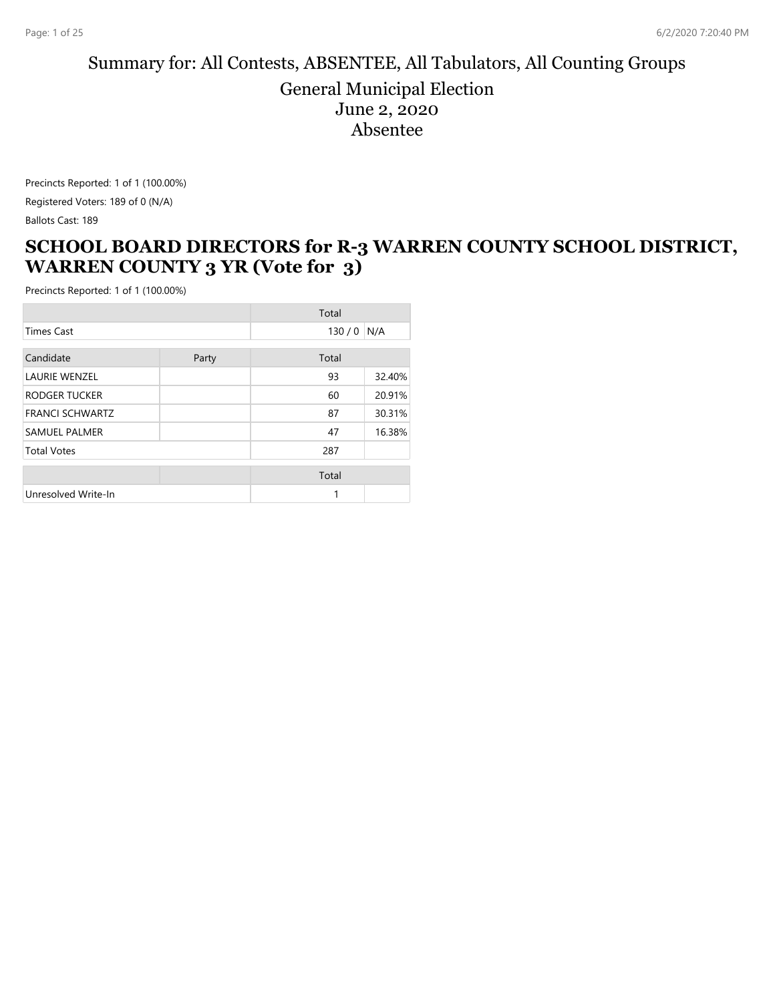#### Summary for: All Contests, ABSENTEE, All Tabulators, All Counting Groups General Municipal Election June 2, 2020 Absentee

Precincts Reported: 1 of 1 (100.00%) Registered Voters: 189 of 0 (N/A) Ballots Cast: 189

### **SCHOOL BOARD DIRECTORS for R-3 WARREN COUNTY SCHOOL DISTRICT, WARREN COUNTY 3 YR (Vote for 3)**

|                        |       | Total |        |
|------------------------|-------|-------|--------|
| <b>Times Cast</b>      |       | 130/0 | N/A    |
| Candidate              | Party | Total |        |
| <b>LAURIE WENZEL</b>   |       | 93    | 32.40% |
| RODGER TUCKER          |       | 60    | 20.91% |
| <b>FRANCI SCHWARTZ</b> |       | 87    | 30.31% |
| <b>SAMUEL PALMER</b>   |       | 47    | 16.38% |
| <b>Total Votes</b>     |       | 287   |        |
|                        |       | Total |        |
| Unresolved Write-In    |       |       |        |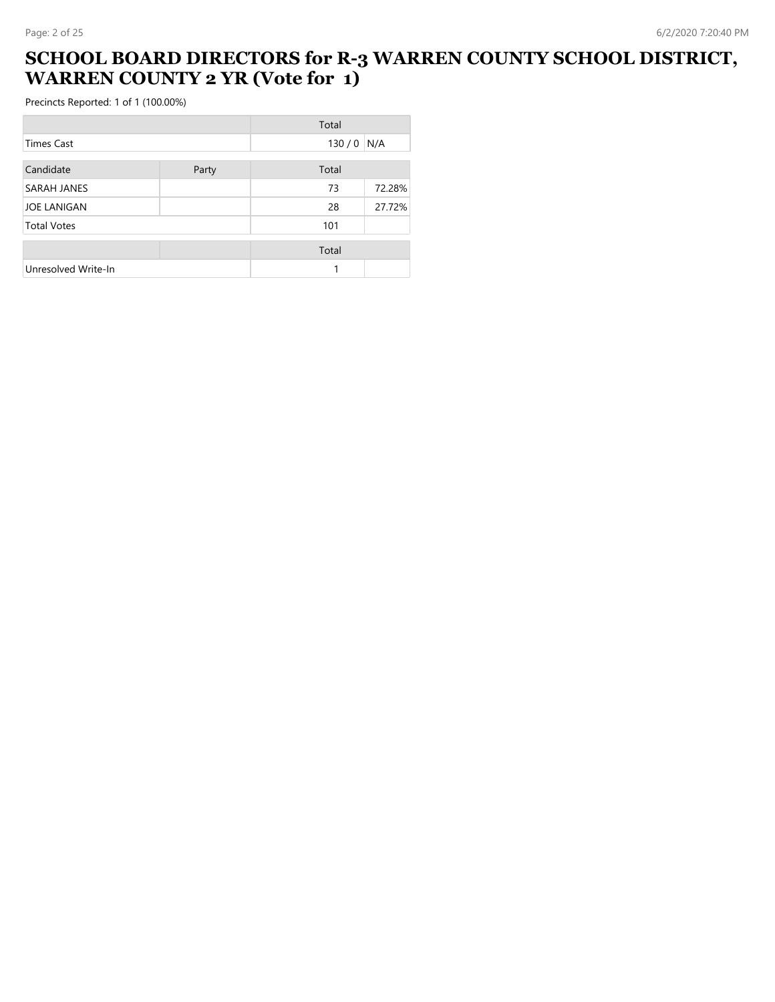### **SCHOOL BOARD DIRECTORS for R-3 WARREN COUNTY SCHOOL DISTRICT, WARREN COUNTY 2 YR (Vote for 1)**

|                     |       | Total |        |
|---------------------|-------|-------|--------|
| Times Cast          |       | 130/0 | N/A    |
| Candidate           | Party | Total |        |
| SARAH JANES         |       | 73    | 72.28% |
| <b>JOE LANIGAN</b>  |       | 28    | 27.72% |
| <b>Total Votes</b>  |       | 101   |        |
|                     |       | Total |        |
| Unresolved Write-In |       |       |        |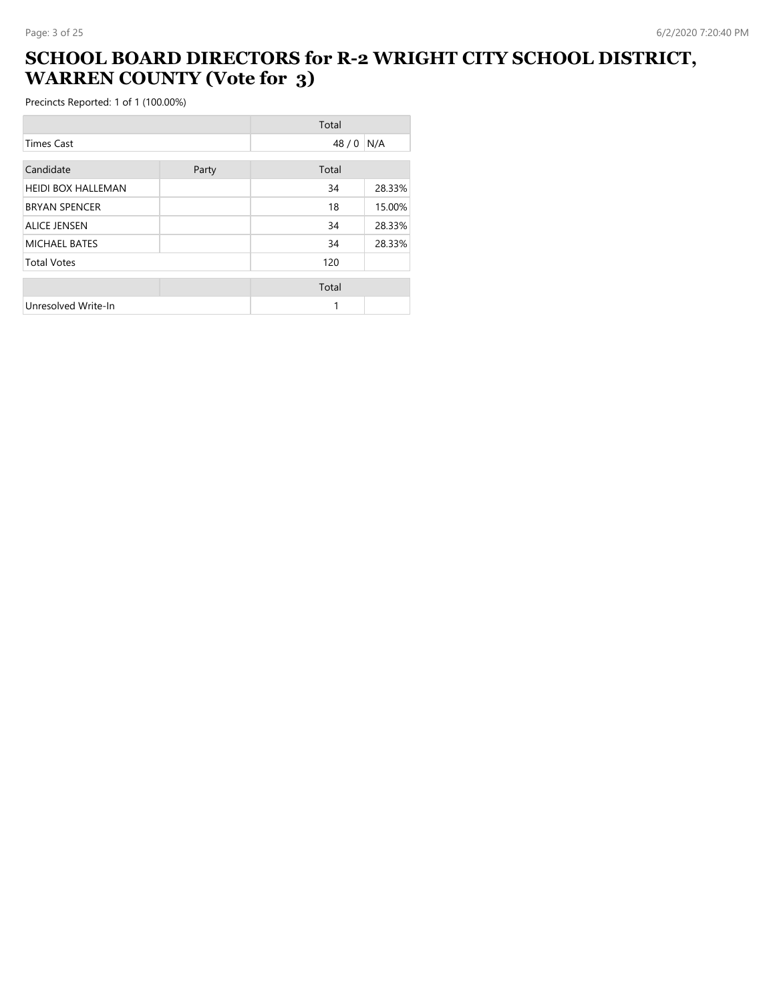### **SCHOOL BOARD DIRECTORS for R-2 WRIGHT CITY SCHOOL DISTRICT, WARREN COUNTY (Vote for 3)**

|                           |       | Total |        |
|---------------------------|-------|-------|--------|
| <b>Times Cast</b>         |       | 48/0  | N/A    |
| Candidate                 | Party | Total |        |
| <b>HEIDI BOX HALLEMAN</b> |       | 34    | 28.33% |
| <b>BRYAN SPENCER</b>      |       | 18    | 15.00% |
| <b>ALICE JENSEN</b>       |       | 34    | 28.33% |
| <b>MICHAEL BATES</b>      |       | 34    | 28.33% |
| <b>Total Votes</b>        |       | 120   |        |
|                           |       | Total |        |
| Unresolved Write-In       |       | 1     |        |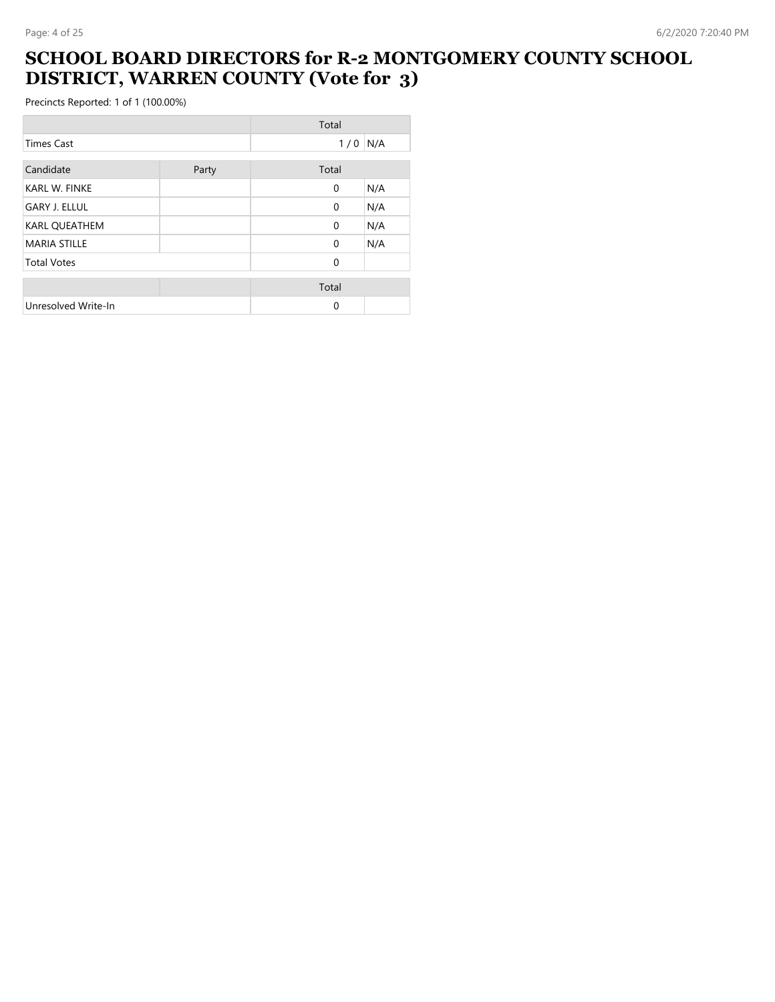#### **SCHOOL BOARD DIRECTORS for R-2 MONTGOMERY COUNTY SCHOOL DISTRICT, WARREN COUNTY (Vote for 3)**

÷,

|                      |       | Total        |     |
|----------------------|-------|--------------|-----|
| <b>Times Cast</b>    |       | $1/0$ N/A    |     |
| Candidate            | Party | Total        |     |
| <b>KARL W. FINKE</b> |       | $\mathbf{0}$ | N/A |
| <b>GARY J. ELLUL</b> |       | $\Omega$     | N/A |
| <b>KARL QUEATHEM</b> |       | $\Omega$     | N/A |
| <b>MARIA STILLE</b>  |       | $\Omega$     | N/A |
| <b>Total Votes</b>   |       | $\Omega$     |     |
|                      |       | Total        |     |
| Unresolved Write-In  |       | $\Omega$     |     |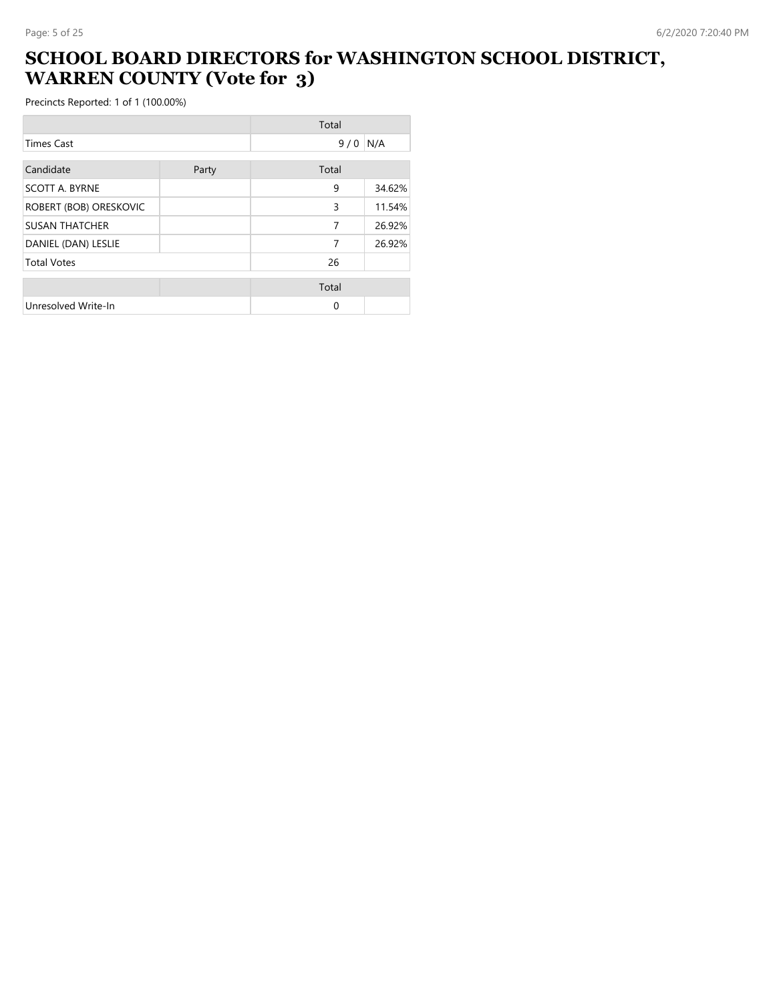## **SCHOOL BOARD DIRECTORS for WASHINGTON SCHOOL DISTRICT, WARREN COUNTY (Vote for 3)**

|                        |       | Total    |        |
|------------------------|-------|----------|--------|
| <b>Times Cast</b>      |       | 9/0      | N/A    |
| Candidate              | Party | Total    |        |
| <b>SCOTT A. BYRNE</b>  |       | 9        | 34.62% |
| ROBERT (BOB) ORESKOVIC |       | 3        | 11.54% |
| <b>SUSAN THATCHER</b>  |       | 7        | 26.92% |
| DANIEL (DAN) LESLIE    |       | 7        | 26.92% |
| <b>Total Votes</b>     |       | 26       |        |
|                        |       | Total    |        |
| Unresolved Write-In    |       | $\Omega$ |        |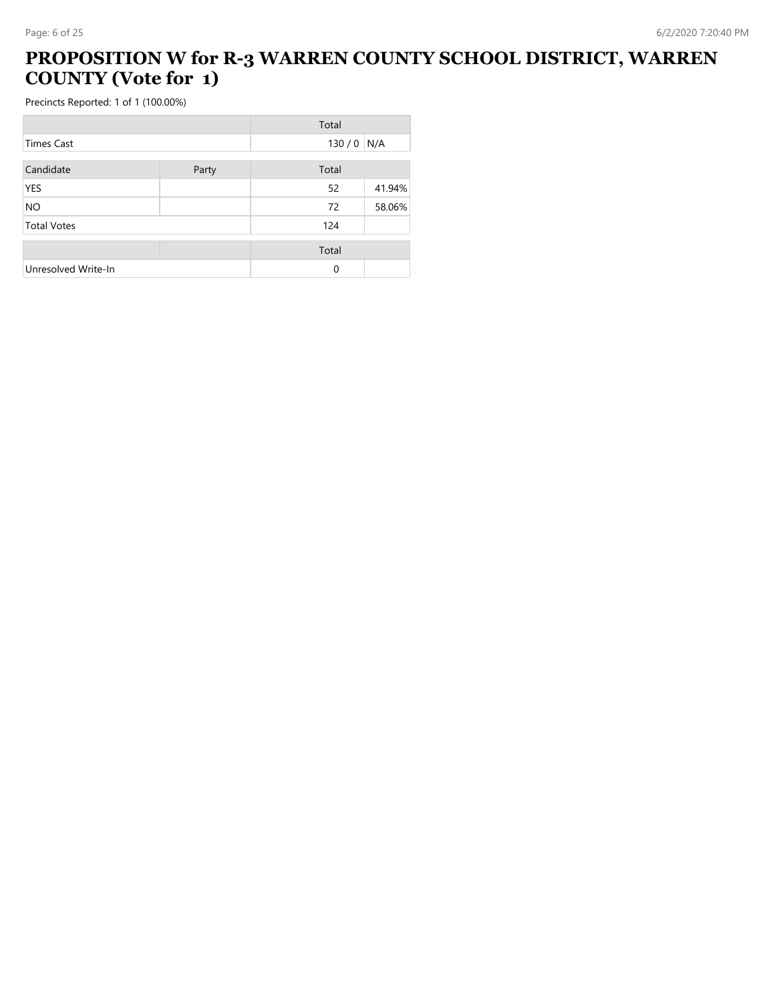## **PROPOSITION W for R-3 WARREN COUNTY SCHOOL DISTRICT, WARREN COUNTY (Vote for 1)**

|                     |       | Total |        |
|---------------------|-------|-------|--------|
| <b>Times Cast</b>   |       | 130/0 | N/A    |
| Candidate           | Party | Total |        |
| <b>YES</b>          |       | 52    | 41.94% |
| <b>NO</b>           |       | 72    | 58.06% |
| <b>Total Votes</b>  |       | 124   |        |
|                     |       | Total |        |
| Unresolved Write-In |       | 0     |        |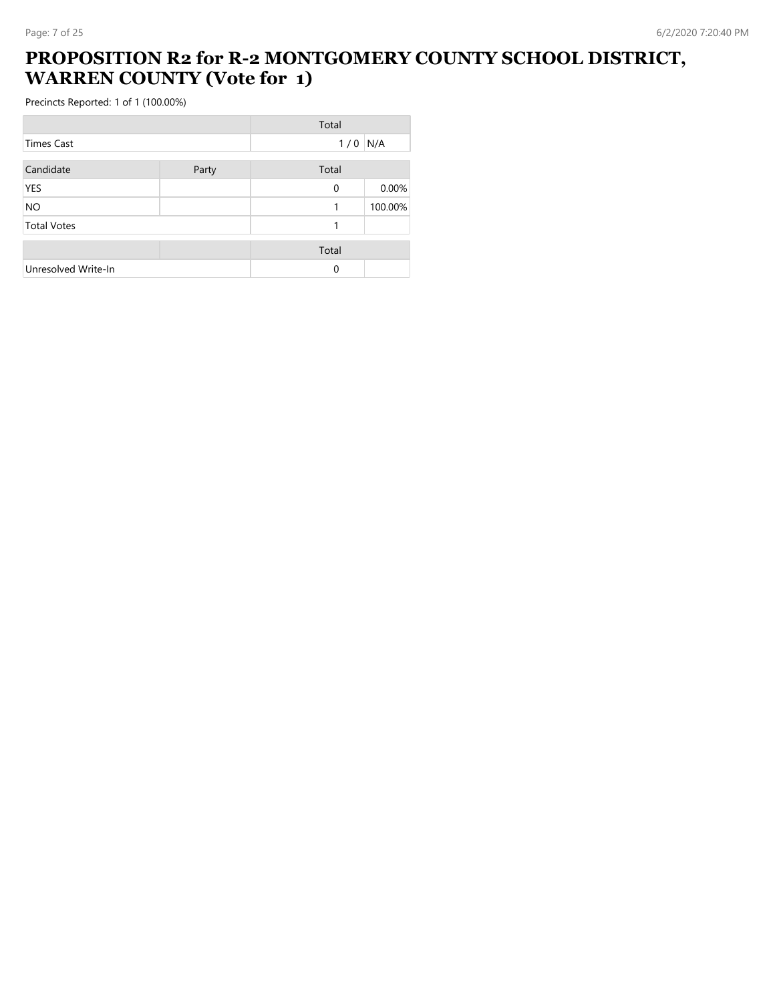#### **PROPOSITION R2 for R-2 MONTGOMERY COUNTY SCHOOL DISTRICT, WARREN COUNTY (Vote for 1)**

|                     |       | Total        |         |
|---------------------|-------|--------------|---------|
| <b>Times Cast</b>   |       | 1/0          | N/A     |
| Candidate           | Party | Total        |         |
| <b>YES</b>          |       | $\mathbf{0}$ | 0.00%   |
| <b>NO</b>           |       | 1            | 100.00% |
| <b>Total Votes</b>  |       | 1            |         |
|                     |       | Total        |         |
| Unresolved Write-In |       | 0            |         |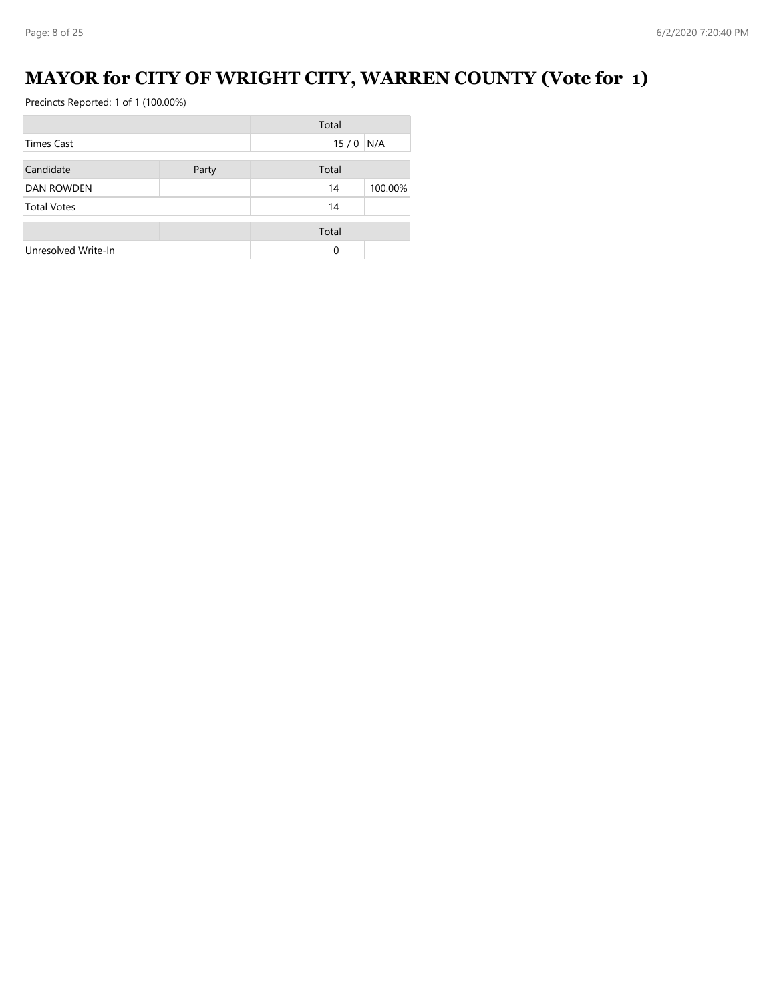# **MAYOR for CITY OF WRIGHT CITY, WARREN COUNTY (Vote for 1)**

|                     |       | Total      |         |
|---------------------|-------|------------|---------|
| Times Cast          |       | $15/0$ N/A |         |
| Candidate           | Party | Total      |         |
| <b>DAN ROWDEN</b>   |       | 14         | 100.00% |
| <b>Total Votes</b>  |       | 14         |         |
|                     |       | Total      |         |
| Unresolved Write-In |       | $\Omega$   |         |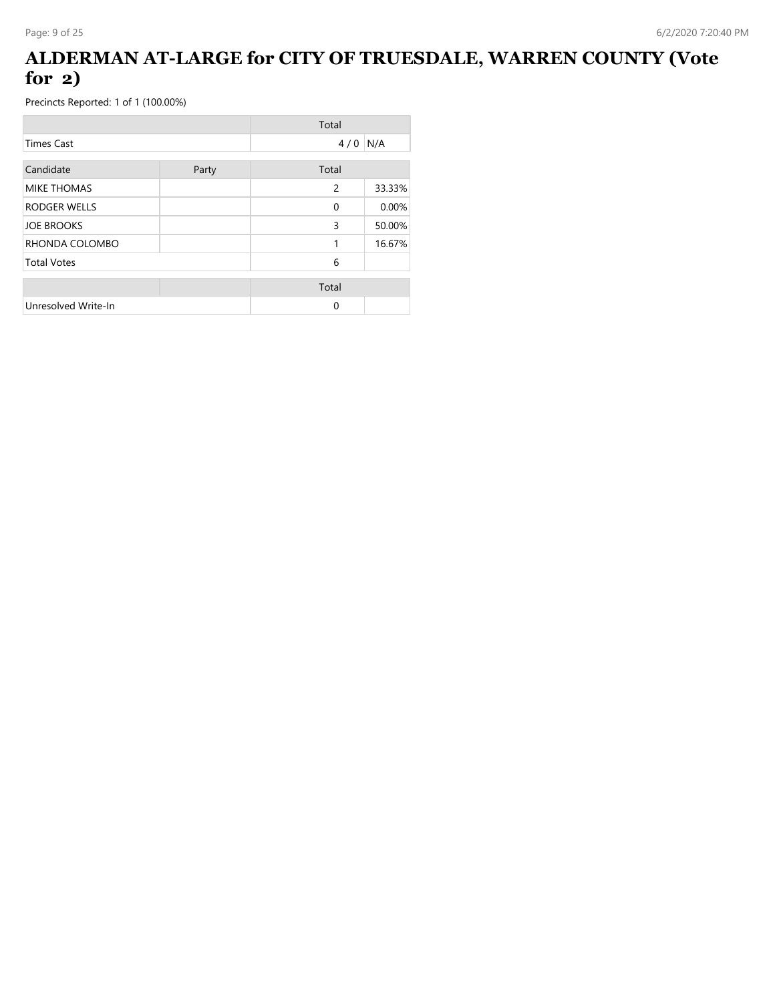## **ALDERMAN AT-LARGE for CITY OF TRUESDALE, WARREN COUNTY (Vote for 2)**

|                     |       | Total        |        |
|---------------------|-------|--------------|--------|
| <b>Times Cast</b>   |       | 4/0          | N/A    |
| Candidate           | Party | Total        |        |
| <b>MIKE THOMAS</b>  |       | 2            | 33.33% |
| <b>RODGER WELLS</b> |       | $\mathbf{0}$ | 0.00%  |
| <b>JOE BROOKS</b>   |       | 3            | 50.00% |
| RHONDA COLOMBO      |       | 1            | 16.67% |
| <b>Total Votes</b>  |       | 6            |        |
|                     |       | Total        |        |
| Unresolved Write-In |       | 0            |        |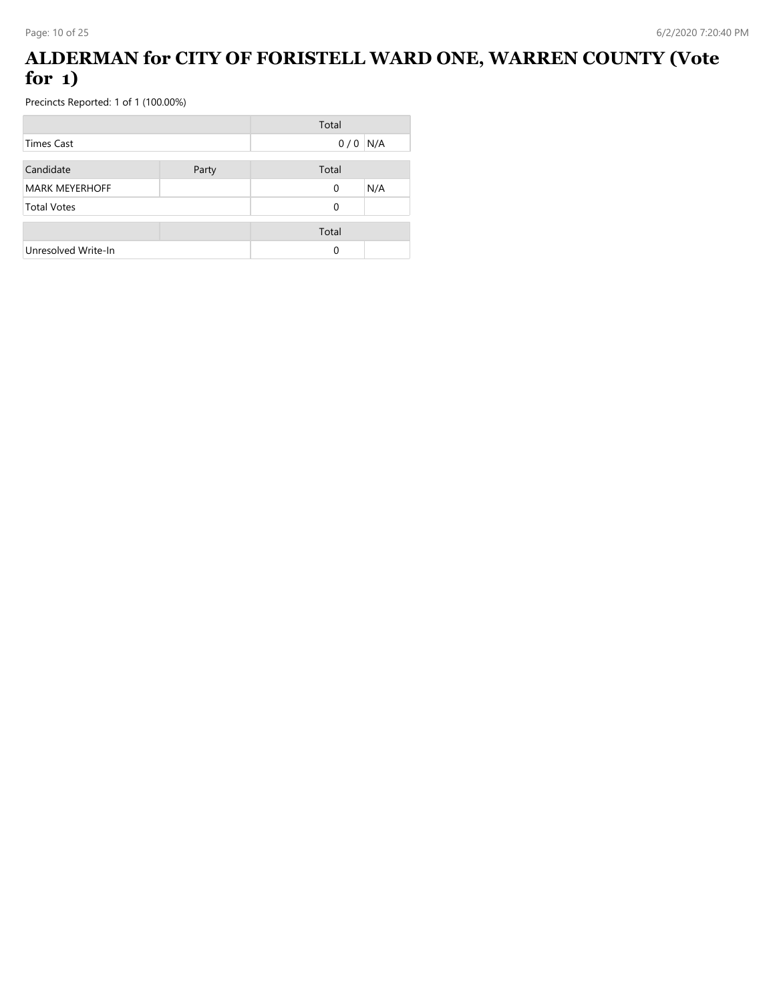## **ALDERMAN for CITY OF FORISTELL WARD ONE, WARREN COUNTY (Vote for 1)**

|                       |       | Total    |     |
|-----------------------|-------|----------|-----|
| Times Cast            |       | 0/0      | N/A |
| Candidate             | Party | Total    |     |
| <b>MARK MEYERHOFF</b> |       | 0        | N/A |
| <b>Total Votes</b>    |       | $\Omega$ |     |
|                       |       | Total    |     |
| Unresolved Write-In   |       | $\Omega$ |     |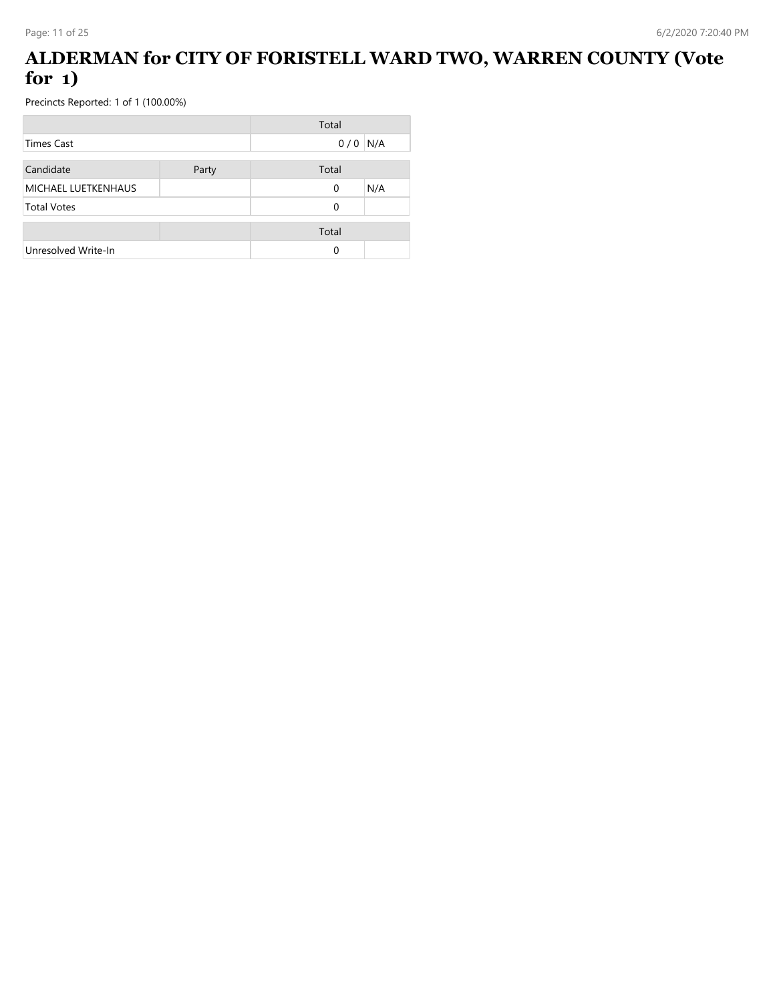## **ALDERMAN for CITY OF FORISTELL WARD TWO, WARREN COUNTY (Vote for 1)**

|                     |       | Total    |     |
|---------------------|-------|----------|-----|
| Times Cast          |       | 0/0      | N/A |
| Candidate           | Party | Total    |     |
| MICHAEL LUETKENHAUS |       | $\Omega$ | N/A |
| <b>Total Votes</b>  |       | $\Omega$ |     |
|                     |       | Total    |     |
| Unresolved Write-In |       | $\Omega$ |     |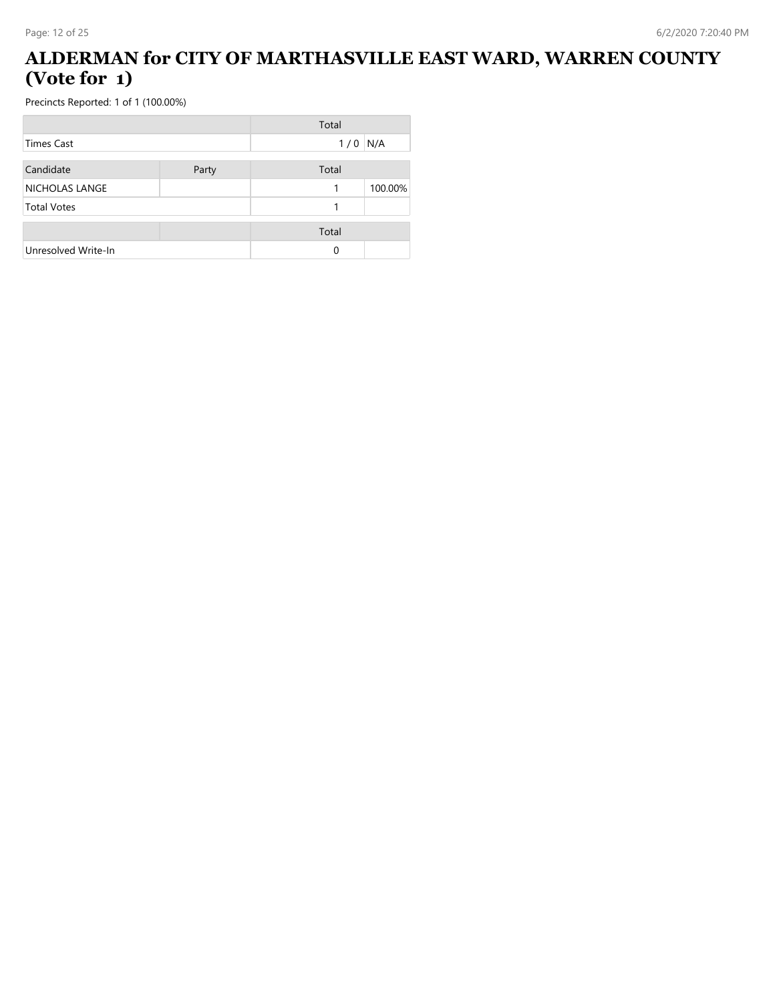#### **ALDERMAN for CITY OF MARTHASVILLE EAST WARD, WARREN COUNTY (Vote for 1)**

|                     |       | Total |         |
|---------------------|-------|-------|---------|
| <b>Times Cast</b>   |       | 1/0   | N/A     |
| Candidate           |       | Total |         |
|                     | Party |       |         |
| NICHOLAS LANGE      |       | 1     | 100.00% |
| <b>Total Votes</b>  |       |       |         |
|                     |       | Total |         |
| Unresolved Write-In |       | 0     |         |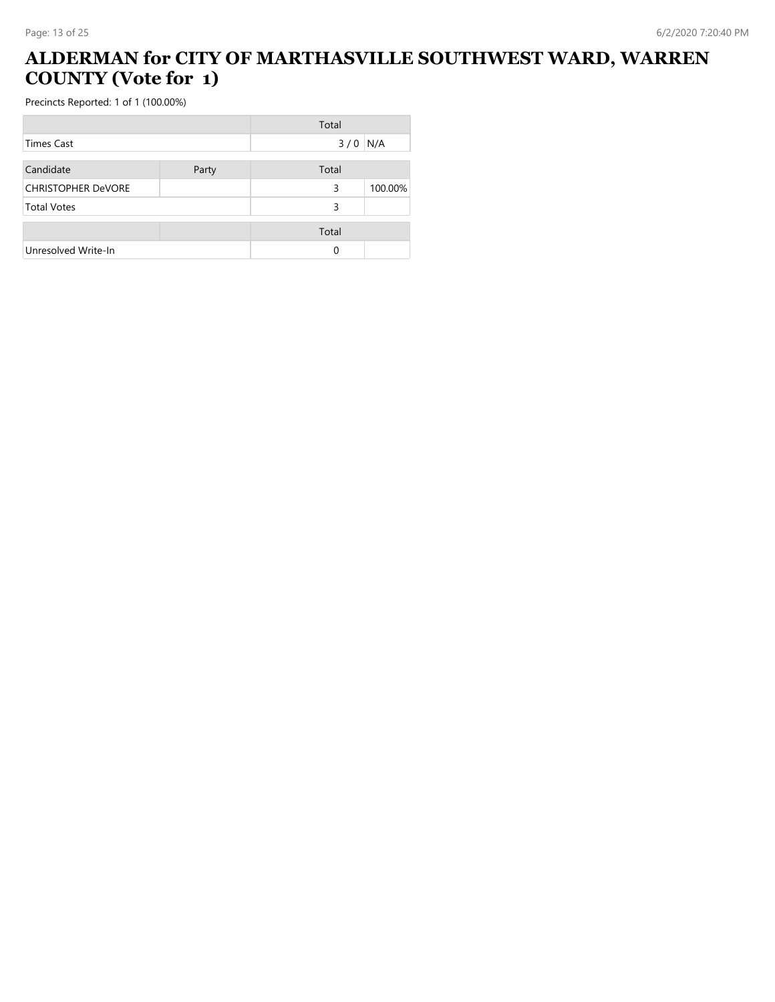## **ALDERMAN for CITY OF MARTHASVILLE SOUTHWEST WARD, WARREN COUNTY (Vote for 1)**

|                           |       | Total |         |
|---------------------------|-------|-------|---------|
| <b>Times Cast</b>         |       | 3/0   | N/A     |
| Candidate                 | Party | Total |         |
| <b>CHRISTOPHER DeVORE</b> |       | 3     | 100.00% |
| <b>Total Votes</b>        |       | 3     |         |
|                           |       | Total |         |
| Unresolved Write-In       |       | 0     |         |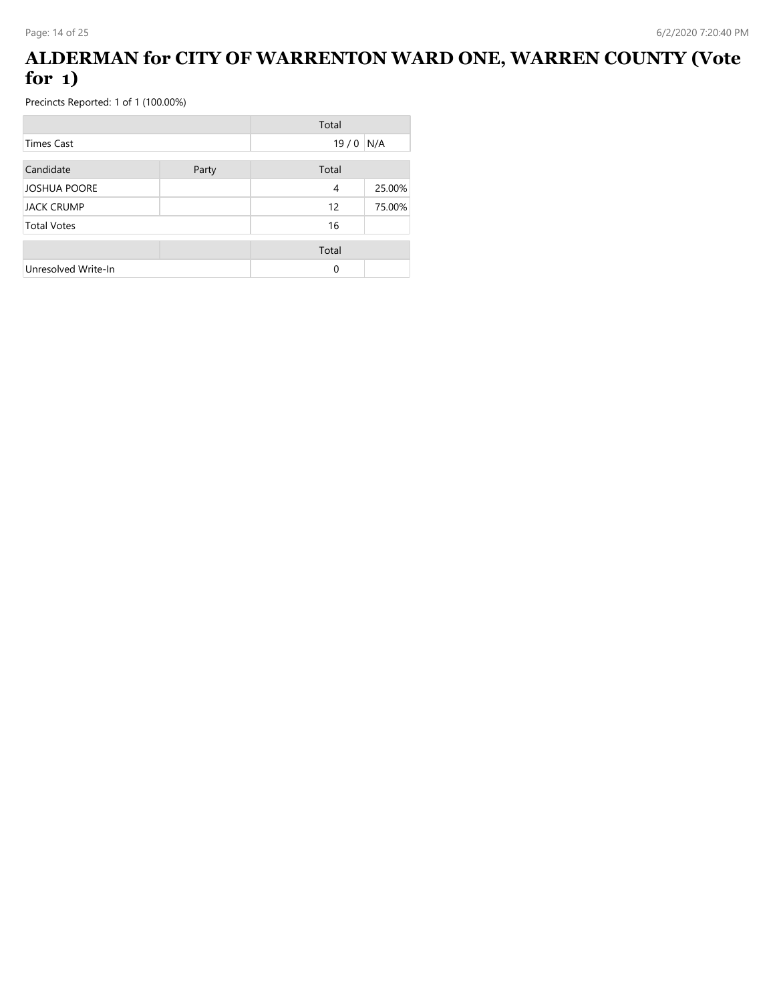### **ALDERMAN for CITY OF WARRENTON WARD ONE, WARREN COUNTY (Vote for 1)**

|                     |       | Total |        |
|---------------------|-------|-------|--------|
| <b>Times Cast</b>   |       | 19/0  | N/A    |
| Candidate           | Party | Total |        |
| <b>JOSHUA POORE</b> |       | 4     | 25.00% |
| <b>JACK CRUMP</b>   |       | 12    | 75.00% |
| <b>Total Votes</b>  |       | 16    |        |
|                     |       | Total |        |
| Unresolved Write-In |       | 0     |        |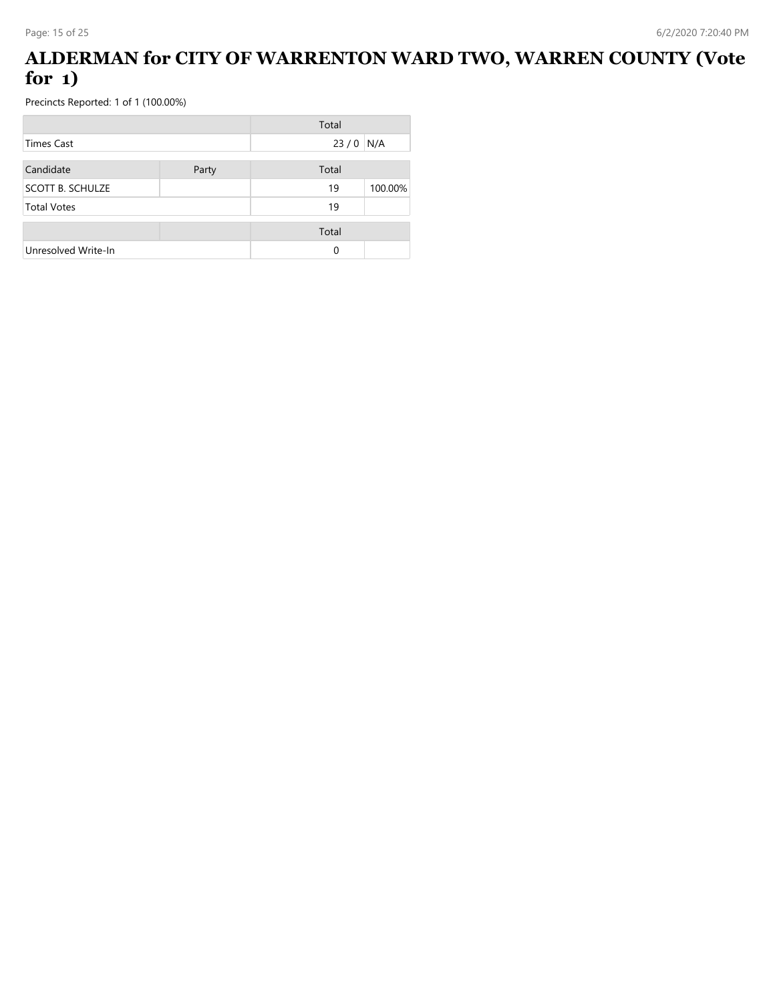### **ALDERMAN for CITY OF WARRENTON WARD TWO, WARREN COUNTY (Vote for 1)**

|                         |       | Total      |         |
|-------------------------|-------|------------|---------|
| Times Cast              |       | $23/0$ N/A |         |
| Candidate               | Party | Total      |         |
| <b>SCOTT B. SCHULZE</b> |       | 19         | 100.00% |
| <b>Total Votes</b>      |       | 19         |         |
|                         |       | Total      |         |
| Unresolved Write-In     |       | 0          |         |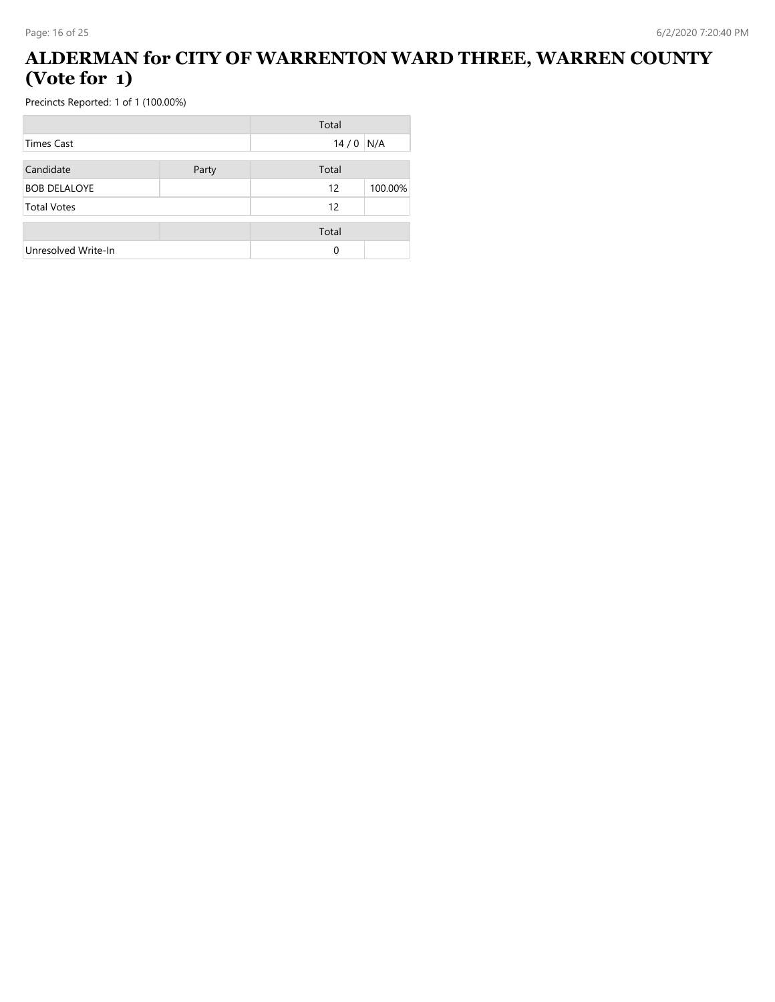### **ALDERMAN for CITY OF WARRENTON WARD THREE, WARREN COUNTY (Vote for 1)**

|                     |       | Total    |         |
|---------------------|-------|----------|---------|
| <b>Times Cast</b>   |       | 14/0     | N/A     |
| Candidate           | Party | Total    |         |
| <b>BOB DELALOYE</b> |       | 12       | 100.00% |
| <b>Total Votes</b>  |       | 12       |         |
|                     |       | Total    |         |
| Unresolved Write-In |       | $\Omega$ |         |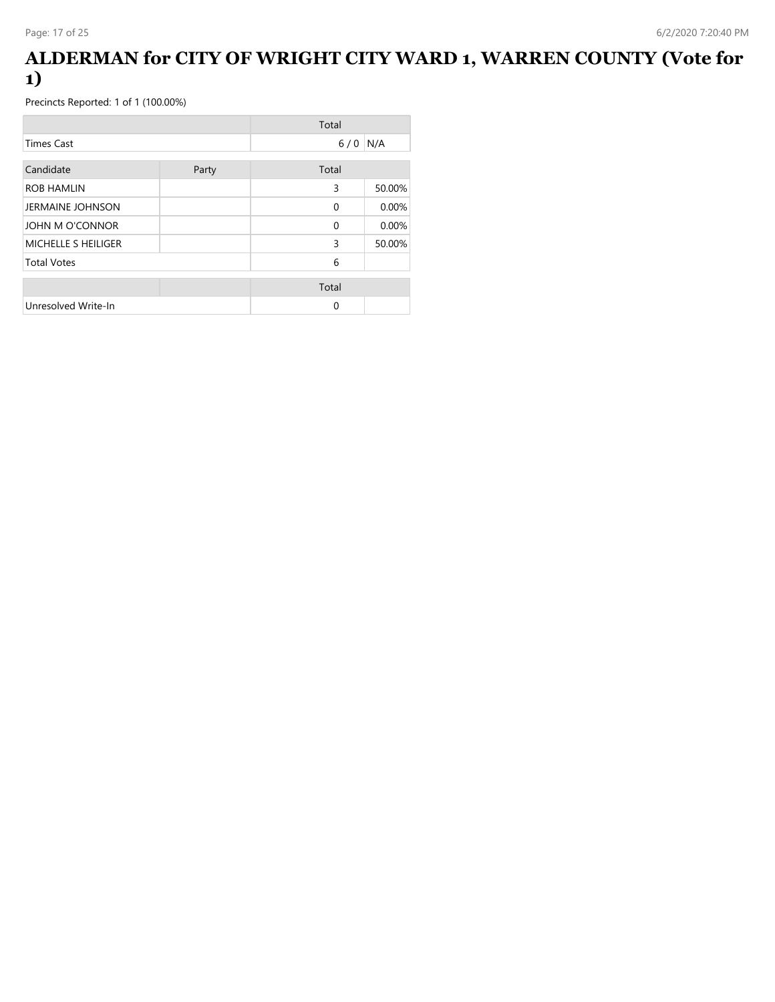### **ALDERMAN for CITY OF WRIGHT CITY WARD 1, WARREN COUNTY (Vote for 1)**

|                         |       | Total    |        |
|-------------------------|-------|----------|--------|
| <b>Times Cast</b>       |       | $6/0$    | N/A    |
| Candidate               | Party | Total    |        |
| <b>ROB HAMLIN</b>       |       | 3        | 50.00% |
| <b>JERMAINE JOHNSON</b> |       | $\Omega$ | 0.00%  |
| JOHN M O'CONNOR         |       | $\Omega$ | 0.00%  |
| MICHELLE S HEILIGER     |       | 3        | 50.00% |
| <b>Total Votes</b>      |       | 6        |        |
|                         |       | Total    |        |
| Unresolved Write-In     |       | $\Omega$ |        |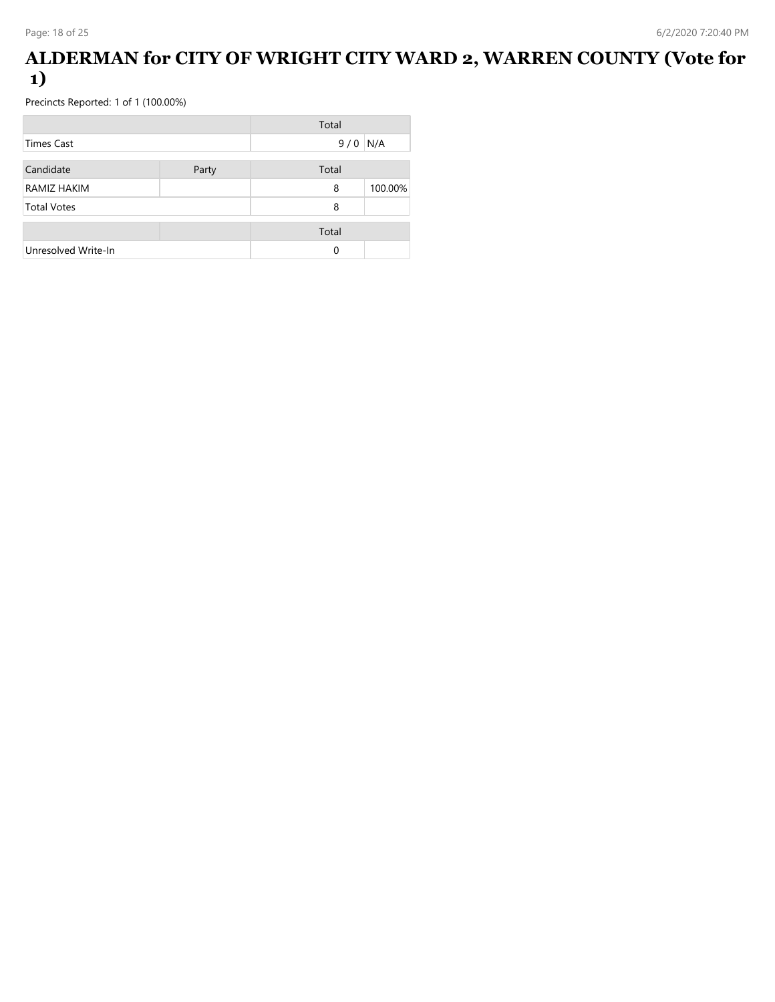### **ALDERMAN for CITY OF WRIGHT CITY WARD 2, WARREN COUNTY (Vote for 1)**

|                     |       | Total    |         |
|---------------------|-------|----------|---------|
| Times Cast          |       | 9/0      | N/A     |
| Candidate           | Party | Total    |         |
| RAMIZ HAKIM         |       | 8        | 100.00% |
| <b>Total Votes</b>  |       | 8        |         |
|                     |       | Total    |         |
| Unresolved Write-In |       | $\Omega$ |         |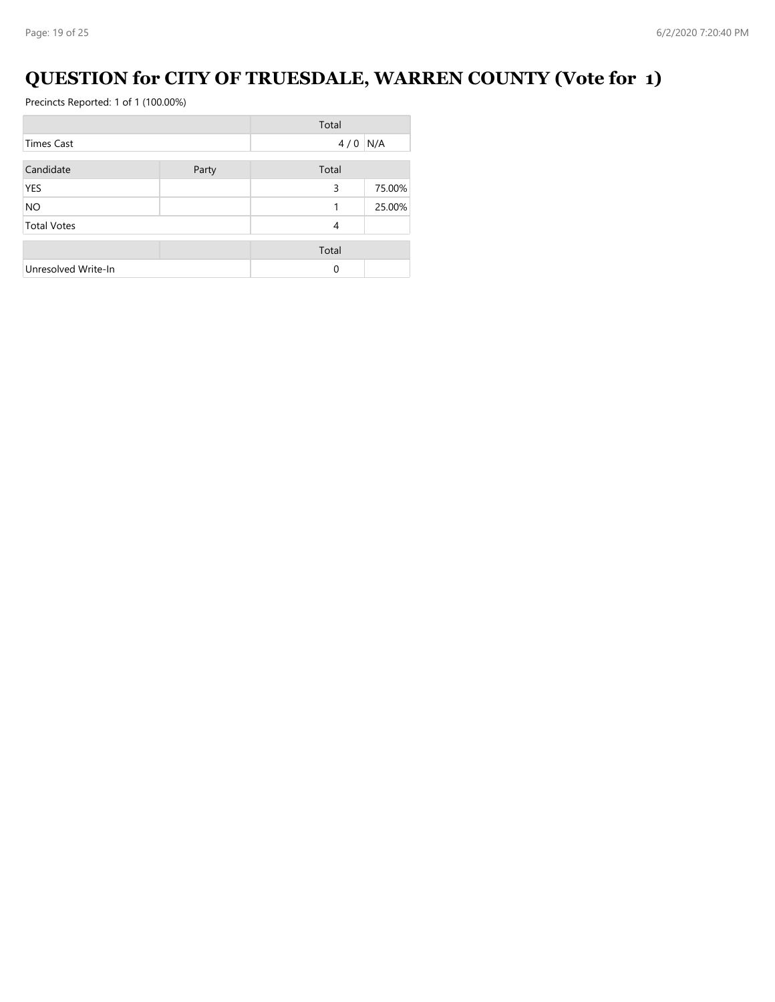# **QUESTION for CITY OF TRUESDALE, WARREN COUNTY (Vote for 1)**

|                     |       | Total     |        |
|---------------------|-------|-----------|--------|
| <b>Times Cast</b>   |       | $4/0$ N/A |        |
| Candidate           | Party | Total     |        |
| YES                 |       | 3         | 75.00% |
| <b>NO</b>           |       |           | 25.00% |
| <b>Total Votes</b>  |       | 4         |        |
|                     |       | Total     |        |
| Unresolved Write-In |       | $\Omega$  |        |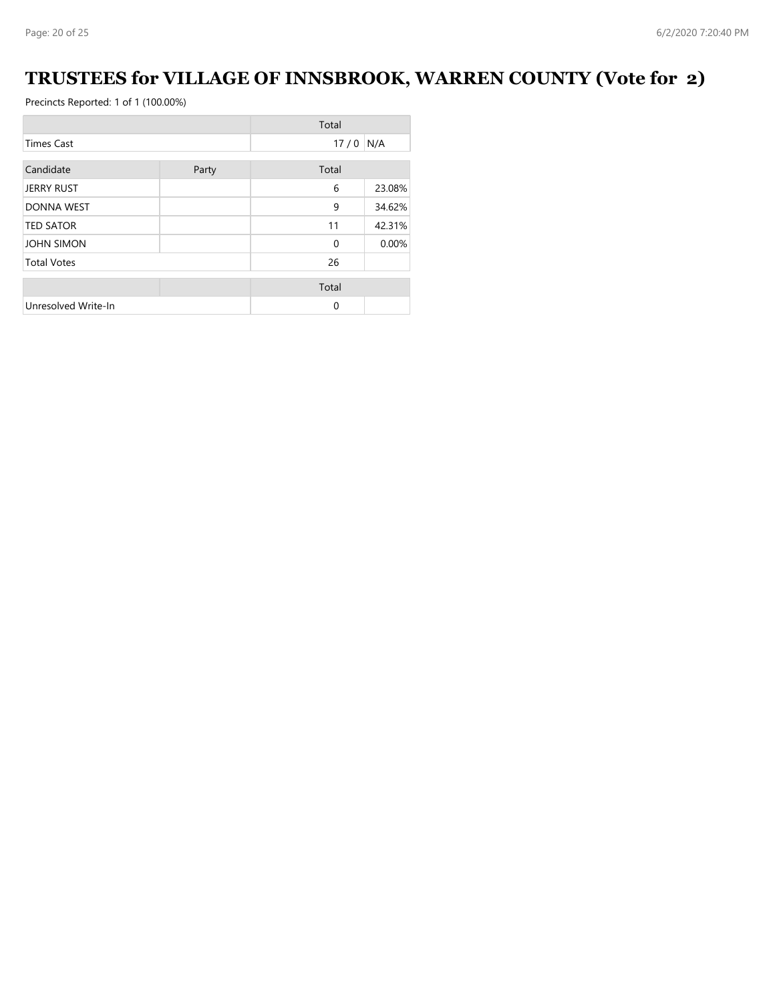# **TRUSTEES for VILLAGE OF INNSBROOK, WARREN COUNTY (Vote for 2)**

| Total               |       |              |        |
|---------------------|-------|--------------|--------|
| <b>Times Cast</b>   |       | 17/0         | N/A    |
| Candidate           | Party | Total        |        |
| <b>JERRY RUST</b>   |       | 6            | 23.08% |
| <b>DONNA WEST</b>   |       | 9            | 34.62% |
| <b>TED SATOR</b>    |       | 11           | 42.31% |
| <b>JOHN SIMON</b>   |       | $\mathbf{0}$ | 0.00%  |
| <b>Total Votes</b>  |       | 26           |        |
|                     |       | Total        |        |
| Unresolved Write-In |       | 0            |        |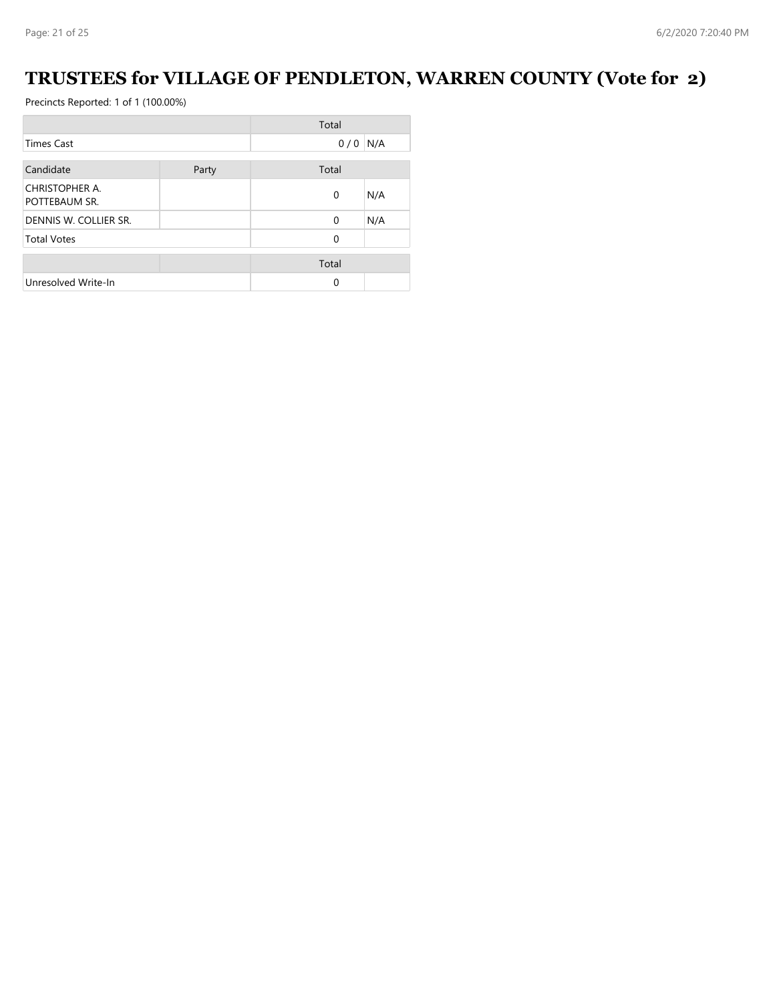# **TRUSTEES for VILLAGE OF PENDLETON, WARREN COUNTY (Vote for 2)**

|                                 |       | Total        |     |
|---------------------------------|-------|--------------|-----|
| <b>Times Cast</b>               |       | 0/0          | N/A |
| Candidate                       | Party | Total        |     |
| CHRISTOPHER A.<br>POTTEBAUM SR. |       | $\mathbf{0}$ | N/A |
| DENNIS W. COLLIER SR.           |       | $\Omega$     | N/A |
| <b>Total Votes</b>              |       | $\mathbf 0$  |     |
|                                 |       | Total        |     |
| Unresolved Write-In             |       | 0            |     |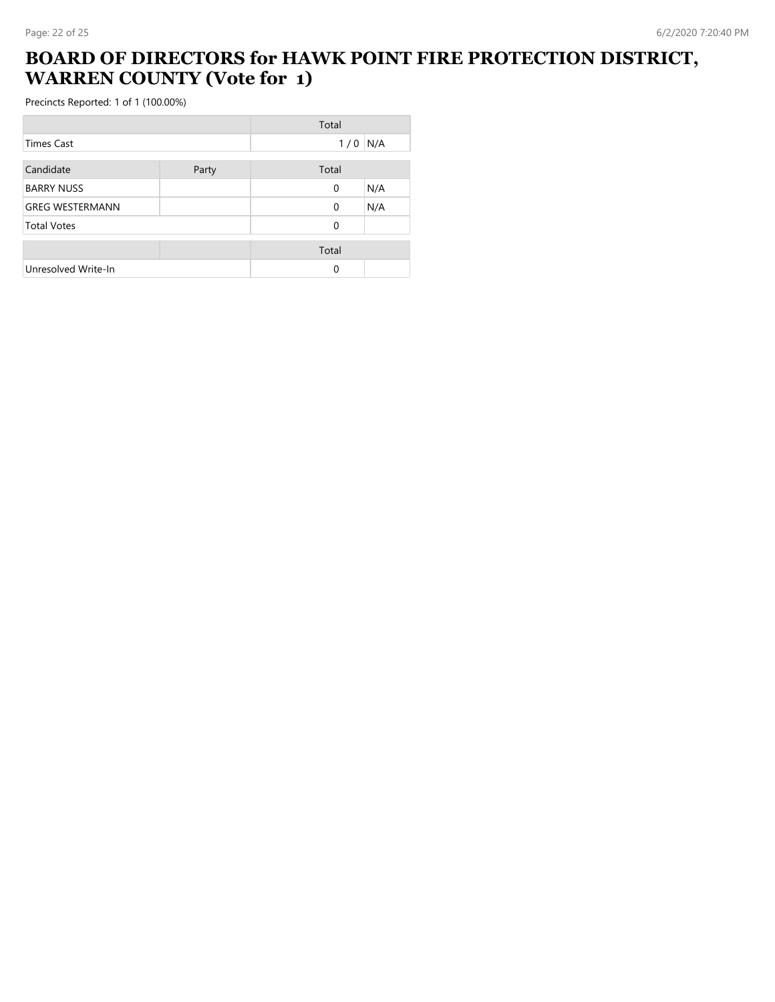## **BOARD OF DIRECTORS for HAWK POINT FIRE PROTECTION DISTRICT, WARREN COUNTY (Vote for 1)**

|                        |       | Total        |     |
|------------------------|-------|--------------|-----|
| Times Cast             |       | 1/0          | N/A |
|                        |       |              |     |
| Candidate              | Party | Total        |     |
| <b>BARRY NUSS</b>      |       | $\mathbf{0}$ | N/A |
| <b>GREG WESTERMANN</b> |       | $\mathbf{0}$ | N/A |
| <b>Total Votes</b>     |       | $\Omega$     |     |
|                        |       | Total        |     |
| Unresolved Write-In    |       | $\Omega$     |     |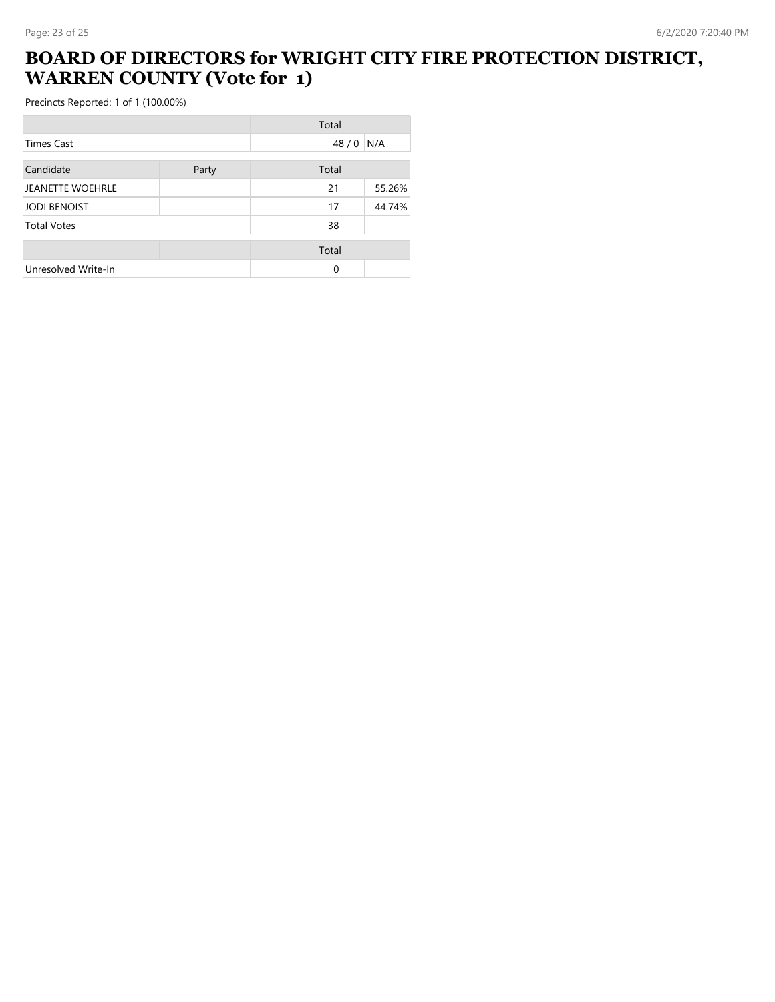## **BOARD OF DIRECTORS for WRIGHT CITY FIRE PROTECTION DISTRICT, WARREN COUNTY (Vote for 1)**

|                         |       | Total |        |
|-------------------------|-------|-------|--------|
| Times Cast              |       | 48/0  | N/A    |
| Candidate               | Party | Total |        |
| <b>JEANETTE WOEHRLE</b> |       | 21    | 55.26% |
| <b>JODI BENOIST</b>     |       | 17    | 44.74% |
| <b>Total Votes</b>      |       | 38    |        |
|                         |       | Total |        |
| Unresolved Write-In     |       | 0     |        |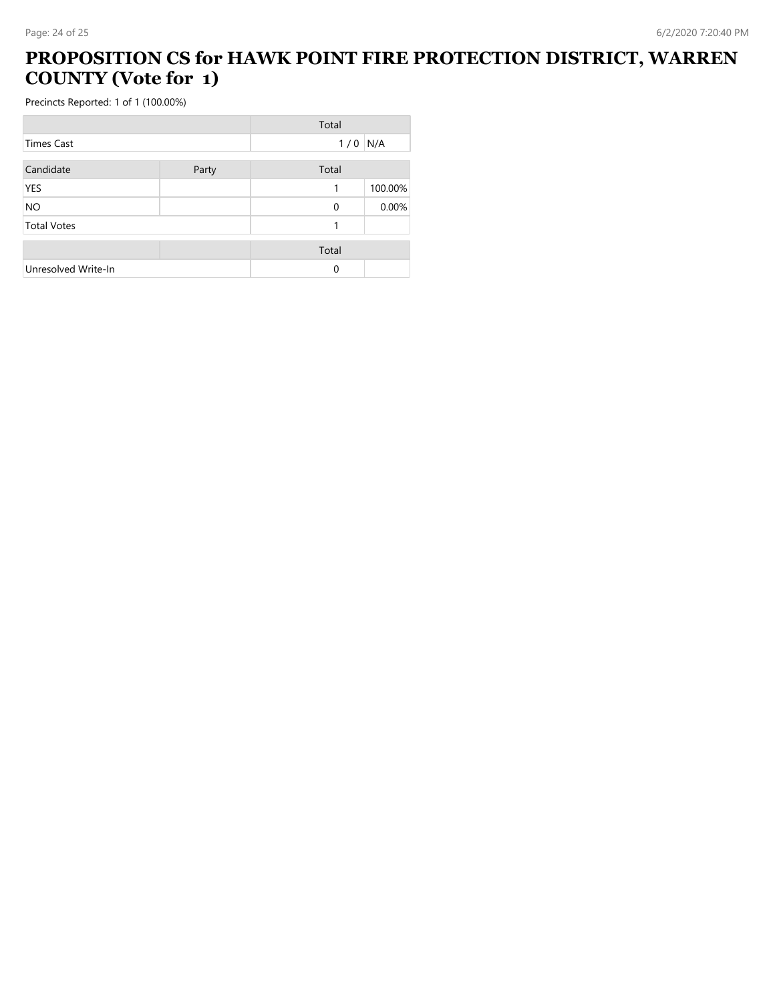## **PROPOSITION CS for HAWK POINT FIRE PROTECTION DISTRICT, WARREN COUNTY (Vote for 1)**

|                     |       | Total |         |
|---------------------|-------|-------|---------|
| <b>Times Cast</b>   |       | 1/0   | N/A     |
| Candidate           | Party | Total |         |
| <b>YES</b>          |       | 1     | 100.00% |
| <b>NO</b>           |       | 0     | 0.00%   |
| <b>Total Votes</b>  |       | 1     |         |
|                     |       | Total |         |
| Unresolved Write-In |       | 0     |         |